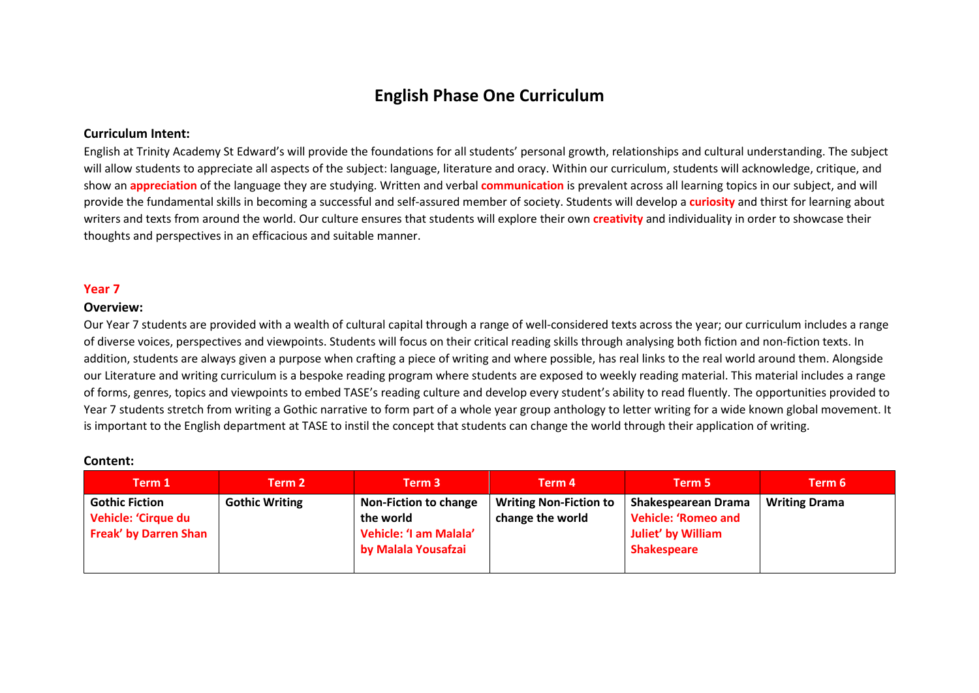# **English Phase One Curriculum**

## **Curriculum Intent:**

English at Trinity Academy St Edward's will provide the foundations for all students' personal growth, relationships and cultural understanding. The subject will allow students to appreciate all aspects of the subject: language, literature and oracy. Within our curriculum, students will acknowledge, critique, and show an **appreciation** of the language they are studying. Written and verbal **communication** is prevalent across all learning topics in our subject, and will provide the fundamental skills in becoming a successful and self-assured member of society. Students will develop a **curiosity** and thirst for learning about writers and texts from around the world. Our culture ensures that students will explore their own **creativity** and individuality in order to showcase their thoughts and perspectives in an efficacious and suitable manner.

### **Year 7**

#### **Overview:**

Our Year 7 students are provided with a wealth of cultural capital through a range of well-considered texts across the year; our curriculum includes a range of diverse voices, perspectives and viewpoints. Students will focus on their critical reading skills through analysing both fiction and non-fiction texts. In addition, students are always given a purpose when crafting a piece of writing and where possible, has real links to the real world around them. Alongside our Literature and writing curriculum is a bespoke reading program where students are exposed to weekly reading material. This material includes a range of forms, genres, topics and viewpoints to embed TASE's reading culture and develop every student's ability to read fluently. The opportunities provided to Year 7 students stretch from writing a Gothic narrative to form part of a whole year group anthology to letter writing for a wide known global movement. It is important to the English department at TASE to instil the concept that students can change the world through their application of writing.

#### **Content:**

| Term 1                                                                              | Term 2                | Term 3                                                                                     | Term 4                                            | Term 5                                                                                               | Term 6               |
|-------------------------------------------------------------------------------------|-----------------------|--------------------------------------------------------------------------------------------|---------------------------------------------------|------------------------------------------------------------------------------------------------------|----------------------|
| <b>Gothic Fiction</b><br><b>Vehicle: 'Cirque du</b><br><b>Freak' by Darren Shan</b> | <b>Gothic Writing</b> | <b>Non-Fiction to change</b><br>the world<br>Vehicle: 'I am Malala'<br>by Malala Yousafzai | <b>Writing Non-Fiction to</b><br>change the world | Shakespearean Drama<br><b>Vehicle: 'Romeo and</b><br><b>Juliet' by William</b><br><b>Shakespeare</b> | <b>Writing Drama</b> |